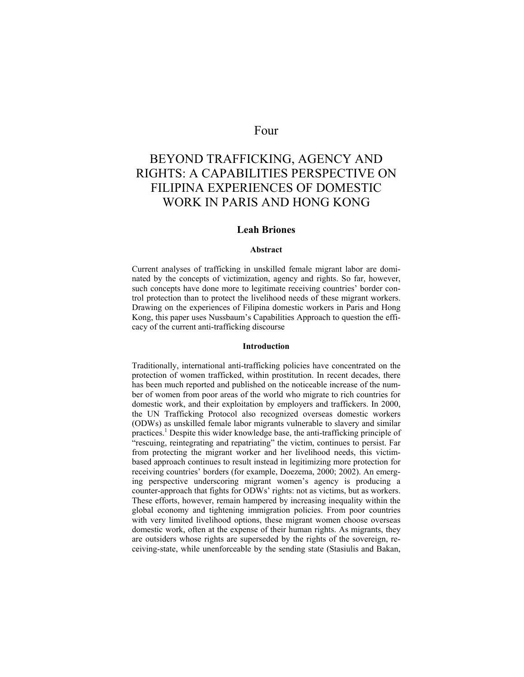# Four

# BEYOND TRAFFICKING, AGENCY AND RIGHTS: A CAPABILITIES PERSPECTIVE ON FILIPINA EXPERIENCES OF DOMESTIC WORK IN PARIS AND HONG KONG

# **Leah Briones**

#### **Abstract**

Current analyses of trafficking in unskilled female migrant labor are dominated by the concepts of victimization, agency and rights. So far, however, such concepts have done more to legitimate receiving countries' border control protection than to protect the livelihood needs of these migrant workers. Drawing on the experiences of Filipina domestic workers in Paris and Hong Kong, this paper uses Nussbaum's Capabilities Approach to question the efficacy of the current anti-trafficking discourse

## **Introduction**

Traditionally, international anti-trafficking policies have concentrated on the protection of women trafficked, within prostitution. In recent decades, there has been much reported and published on the noticeable increase of the number of women from poor areas of the world who migrate to rich countries for domestic work, and their exploitation by employers and traffickers. In 2000, the UN Trafficking Protocol also recognized overseas domestic workers (ODWs) as unskilled female labor migrants vulnerable to slavery and similar practices.<sup>1</sup> Despite this wider knowledge base, the anti-trafficking principle of "rescuing, reintegrating and repatriating" the victim, continues to persist. Far from protecting the migrant worker and her livelihood needs, this victimbased approach continues to result instead in legitimizing more protection for receiving countries' borders (for example, Doezema, 2000; 2002). An emerging perspective underscoring migrant women's agency is producing a counter-approach that fights for ODWs' rights: not as victims, but as workers. These efforts, however, remain hampered by increasing inequality within the global economy and tightening immigration policies. From poor countries with very limited livelihood options, these migrant women choose overseas domestic work, often at the expense of their human rights. As migrants, they are outsiders whose rights are superseded by the rights of the sovereign, receiving-state, while unenforceable by the sending state (Stasiulis and Bakan,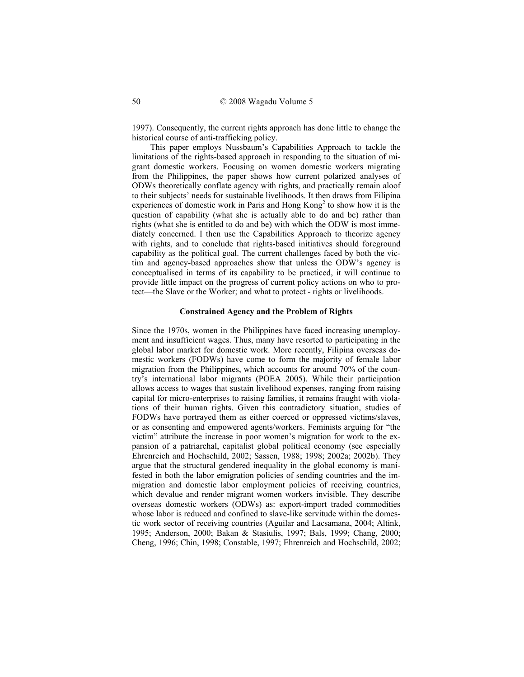1997). Consequently, the current rights approach has done little to change the historical course of anti-trafficking policy.

This paper employs Nussbaum's Capabilities Approach to tackle the limitations of the rights-based approach in responding to the situation of migrant domestic workers. Focusing on women domestic workers migrating from the Philippines, the paper shows how current polarized analyses of ODWs theoretically conflate agency with rights, and practically remain aloof to their subjects' needs for sustainable livelihoods. It then draws from Filipina experiences of domestic work in Paris and Hong  $Kong<sup>2</sup>$  to show how it is the question of capability (what she is actually able to do and be) rather than rights (what she is entitled to do and be) with which the ODW is most immediately concerned. I then use the Capabilities Approach to theorize agency with rights, and to conclude that rights-based initiatives should foreground capability as the political goal. The current challenges faced by both the victim and agency-based approaches show that unless the ODW's agency is conceptualised in terms of its capability to be practiced, it will continue to provide little impact on the progress of current policy actions on who to protect—the Slave or the Worker; and what to protect - rights or livelihoods.

#### **Constrained Agency and the Problem of Rights**

Since the 1970s, women in the Philippines have faced increasing unemployment and insufficient wages. Thus, many have resorted to participating in the global labor market for domestic work. More recently, Filipina overseas domestic workers (FODWs) have come to form the majority of female labor migration from the Philippines, which accounts for around 70% of the country's international labor migrants (POEA 2005). While their participation allows access to wages that sustain livelihood expenses, ranging from raising capital for micro-enterprises to raising families, it remains fraught with violations of their human rights. Given this contradictory situation, studies of FODWs have portrayed them as either coerced or oppressed victims/slaves, or as consenting and empowered agents/workers. Feminists arguing for "the victim" attribute the increase in poor women's migration for work to the expansion of a patriarchal, capitalist global political economy (see especially Ehrenreich and Hochschild, 2002; Sassen, 1988; 1998; 2002a; 2002b). They argue that the structural gendered inequality in the global economy is manifested in both the labor emigration policies of sending countries and the immigration and domestic labor employment policies of receiving countries, which devalue and render migrant women workers invisible. They describe overseas domestic workers (ODWs) as: export-import traded commodities whose labor is reduced and confined to slave-like servitude within the domestic work sector of receiving countries (Aguilar and Lacsamana, 2004; Altink, 1995; Anderson, 2000; Bakan & Stasiulis, 1997; Bals, 1999; Chang, 2000; Cheng, 1996; Chin, 1998; Constable, 1997; Ehrenreich and Hochschild, 2002;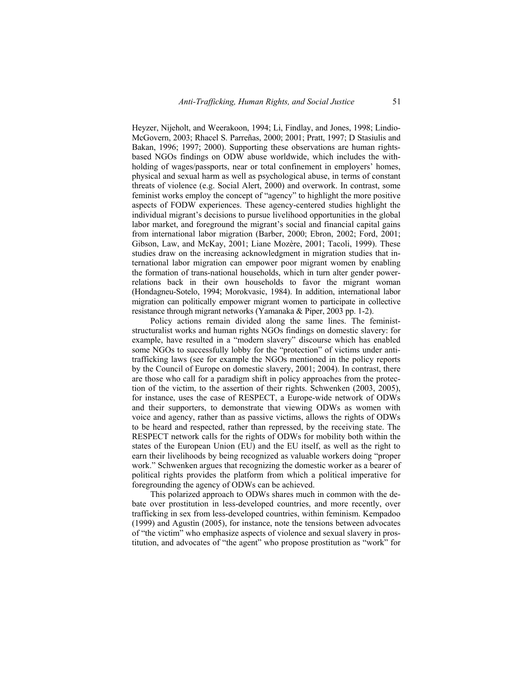Heyzer, Nijeholt, and Weerakoon, 1994; Li, Findlay, and Jones, 1998; Lindio-McGovern, 2003; Rhacel S. Parreñas, 2000; 2001; Pratt, 1997; D Stasiulis and Bakan, 1996; 1997; 2000). Supporting these observations are human rightsbased NGOs findings on ODW abuse worldwide, which includes the withholding of wages/passports, near or total confinement in employers' homes, physical and sexual harm as well as psychological abuse, in terms of constant threats of violence (e.g. Social Alert, 2000) and overwork. In contrast, some feminist works employ the concept of "agency" to highlight the more positive aspects of FODW experiences. These agency-centered studies highlight the individual migrant's decisions to pursue livelihood opportunities in the global labor market, and foreground the migrant's social and financial capital gains from international labor migration (Barber, 2000; Ebron, 2002; Ford, 2001; Gibson, Law, and McKay, 2001; Liane Mozère, 2001; Tacoli, 1999). These studies draw on the increasing acknowledgment in migration studies that international labor migration can empower poor migrant women by enabling the formation of trans-national households, which in turn alter gender powerrelations back in their own households to favor the migrant woman (Hondagneu-Sotelo, 1994; Morokvasic, 1984). In addition, international labor migration can politically empower migrant women to participate in collective resistance through migrant networks (Yamanaka & Piper, 2003 pp. 1-2).

Policy actions remain divided along the same lines. The feministstructuralist works and human rights NGOs findings on domestic slavery: for example, have resulted in a "modern slavery" discourse which has enabled some NGOs to successfully lobby for the "protection" of victims under antitrafficking laws (see for example the NGOs mentioned in the policy reports by the Council of Europe on domestic slavery, 2001; 2004). In contrast, there are those who call for a paradigm shift in policy approaches from the protection of the victim, to the assertion of their rights. Schwenken (2003, 2005), for instance, uses the case of RESPECT, a Europe-wide network of ODWs and their supporters, to demonstrate that viewing ODWs as women with voice and agency, rather than as passive victims, allows the rights of ODWs to be heard and respected, rather than repressed, by the receiving state. The RESPECT network calls for the rights of ODWs for mobility both within the states of the European Union (EU) and the EU itself, as well as the right to earn their livelihoods by being recognized as valuable workers doing "proper work." Schwenken argues that recognizing the domestic worker as a bearer of political rights provides the platform from which a political imperative for foregrounding the agency of ODWs can be achieved.

This polarized approach to ODWs shares much in common with the debate over prostitution in less-developed countries, and more recently, over trafficking in sex from less-developed countries, within feminism. Kempadoo (1999) and Agustìn (2005), for instance, note the tensions between advocates of "the victim" who emphasize aspects of violence and sexual slavery in prostitution, and advocates of "the agent" who propose prostitution as "work" for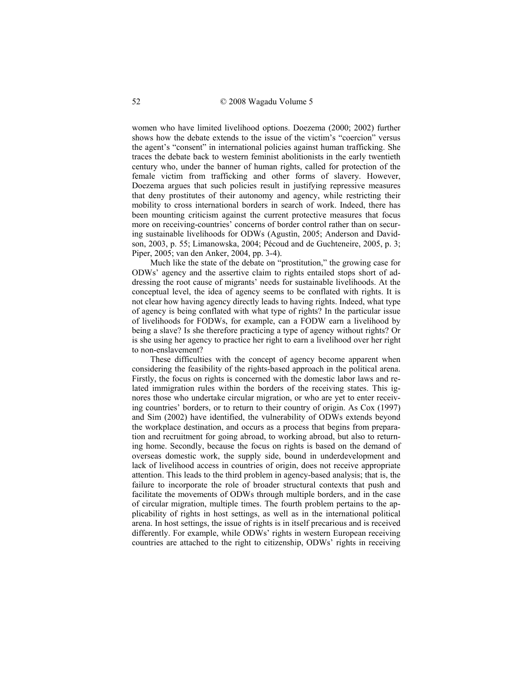women who have limited livelihood options. Doezema (2000; 2002) further shows how the debate extends to the issue of the victim's "coercion" versus the agent's "consent" in international policies against human trafficking. She traces the debate back to western feminist abolitionists in the early twentieth century who, under the banner of human rights, called for protection of the female victim from trafficking and other forms of slavery. However, Doezema argues that such policies result in justifying repressive measures that deny prostitutes of their autonomy and agency, while restricting their mobility to cross international borders in search of work. Indeed, there has been mounting criticism against the current protective measures that focus more on receiving-countries' concerns of border control rather than on securing sustainable livelihoods for ODWs (Agustìn, 2005; Anderson and Davidson, 2003, p. 55; Limanowska, 2004; Pécoud and de Guchteneire, 2005, p. 3; Piper, 2005; van den Anker, 2004, pp. 3-4).

Much like the state of the debate on "prostitution," the growing case for ODWs' agency and the assertive claim to rights entailed stops short of addressing the root cause of migrants' needs for sustainable livelihoods. At the conceptual level, the idea of agency seems to be conflated with rights. It is not clear how having agency directly leads to having rights. Indeed, what type of agency is being conflated with what type of rights? In the particular issue of livelihoods for FODWs, for example, can a FODW earn a livelihood by being a slave? Is she therefore practicing a type of agency without rights? Or is she using her agency to practice her right to earn a livelihood over her right to non-enslavement?

These difficulties with the concept of agency become apparent when considering the feasibility of the rights-based approach in the political arena. Firstly, the focus on rights is concerned with the domestic labor laws and related immigration rules within the borders of the receiving states. This ignores those who undertake circular migration, or who are yet to enter receiving countries' borders, or to return to their country of origin. As Cox (1997) and Sim (2002) have identified, the vulnerability of ODWs extends beyond the workplace destination, and occurs as a process that begins from preparation and recruitment for going abroad, to working abroad, but also to returning home. Secondly, because the focus on rights is based on the demand of overseas domestic work, the supply side, bound in underdevelopment and lack of livelihood access in countries of origin, does not receive appropriate attention. This leads to the third problem in agency-based analysis; that is, the failure to incorporate the role of broader structural contexts that push and facilitate the movements of ODWs through multiple borders, and in the case of circular migration, multiple times. The fourth problem pertains to the applicability of rights in host settings, as well as in the international political arena. In host settings, the issue of rights is in itself precarious and is received differently. For example, while ODWs' rights in western European receiving countries are attached to the right to citizenship, ODWs' rights in receiving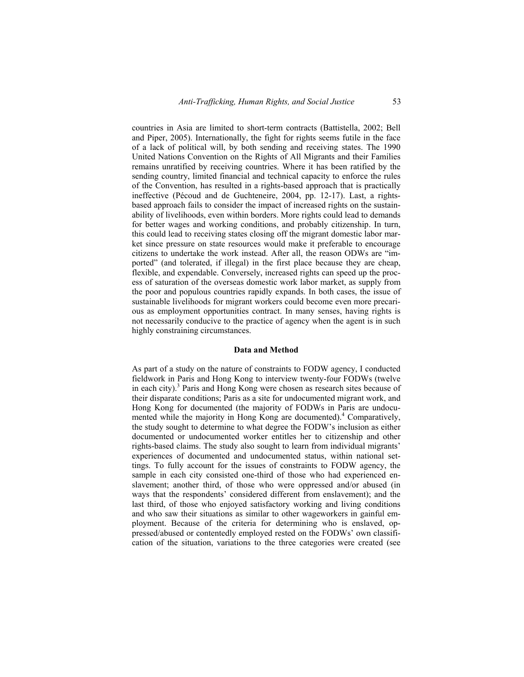countries in Asia are limited to short-term contracts (Battistella, 2002; Bell and Piper, 2005). Internationally, the fight for rights seems futile in the face of a lack of political will, by both sending and receiving states. The 1990 United Nations Convention on the Rights of All Migrants and their Families remains unratified by receiving countries. Where it has been ratified by the sending country, limited financial and technical capacity to enforce the rules of the Convention, has resulted in a rights-based approach that is practically ineffective (Pécoud and de Guchteneire, 2004, pp. 12-17). Last, a rightsbased approach fails to consider the impact of increased rights on the sustainability of livelihoods, even within borders. More rights could lead to demands for better wages and working conditions, and probably citizenship. In turn, this could lead to receiving states closing off the migrant domestic labor market since pressure on state resources would make it preferable to encourage citizens to undertake the work instead. After all, the reason ODWs are "imported" (and tolerated, if illegal) in the first place because they are cheap, flexible, and expendable. Conversely, increased rights can speed up the process of saturation of the overseas domestic work labor market, as supply from the poor and populous countries rapidly expands. In both cases, the issue of sustainable livelihoods for migrant workers could become even more precarious as employment opportunities contract. In many senses, having rights is not necessarily conducive to the practice of agency when the agent is in such highly constraining circumstances.

#### **Data and Method**

As part of a study on the nature of constraints to FODW agency, I conducted fieldwork in Paris and Hong Kong to interview twenty-four FODWs (twelve in each city).<sup>3</sup> Paris and Hong Kong were chosen as research sites because of their disparate conditions; Paris as a site for undocumented migrant work, and Hong Kong for documented (the majority of FODWs in Paris are undocumented while the majority in Hong Kong are documented).<sup>4</sup> Comparatively, the study sought to determine to what degree the FODW's inclusion as either documented or undocumented worker entitles her to citizenship and other rights-based claims. The study also sought to learn from individual migrants' experiences of documented and undocumented status, within national settings. To fully account for the issues of constraints to FODW agency, the sample in each city consisted one-third of those who had experienced enslavement; another third, of those who were oppressed and/or abused (in ways that the respondents' considered different from enslavement); and the last third, of those who enjoyed satisfactory working and living conditions and who saw their situations as similar to other wageworkers in gainful employment. Because of the criteria for determining who is enslaved, oppressed/abused or contentedly employed rested on the FODWs' own classification of the situation, variations to the three categories were created (see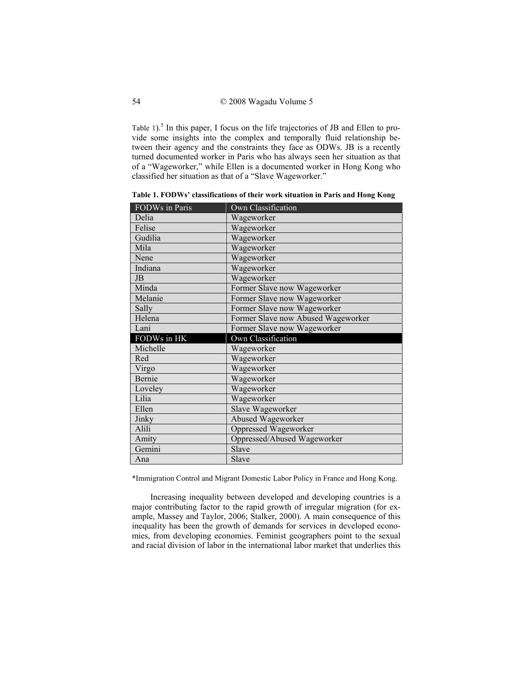Table 1).<sup>5</sup> In this paper, I focus on the life trajectories of JB and Ellen to provide some insights into the complex and temporally fluid relationship between their agency and the constraints they face as ODWs. JB is a recently turned documented worker in Paris who has always seen her situation as that of a "Wageworker," while Ellen is a documented worker in Hong Kong who classified her situation as that of a "Slave Wageworker."

**Table 1. FODWs' classifications of their work situation in Paris and Hong Kong** 

| FODWs in Paris | Own Classification                 |
|----------------|------------------------------------|
| Delia          | Wageworker                         |
| Felise         | Wageworker                         |
| Gudilia        | Wageworker                         |
| Mila           | Wageworker                         |
| Nene           | Wageworker                         |
| Indiana        | Wageworker                         |
| JB             | Wageworker                         |
| Minda          | Former Slave now Wageworker        |
| Melanie        | Former Slave now Wageworker        |
| Sally          | Former Slave now Wageworker        |
| Helena         | Former Slave now Abused Wageworker |
| Lani           | Former Slave now Wageworker        |
|                |                                    |
| FODWs in HK    | Own Classification                 |
| Michelle       | Wageworker                         |
| Red            | Wageworker                         |
| Virgo          | Wageworker                         |
| Bernie         | Wageworker                         |
| Loveley        | Wageworker                         |
| Lilia          | Wageworker                         |
| Ellen          | Slave Wageworker                   |
| Jinky          | Abused Wageworker                  |
| Alili          | Oppressed Wageworker               |
| Amity          | Oppressed/Abused Wageworker        |
| Gemini         | Slave                              |

\*Immigration Control and Migrant Domestic Labor Policy in France and Hong Kong.

Increasing inequality between developed and developing countries is a major contributing factor to the rapid growth of irregular migration (for example, Massey and Taylor, 2006; Stalker, 2000). A main consequence of this inequality has been the growth of demands for services in developed economies, from developing economies. Feminist geographers point to the sexual and racial division of labor in the international labor market that underlies this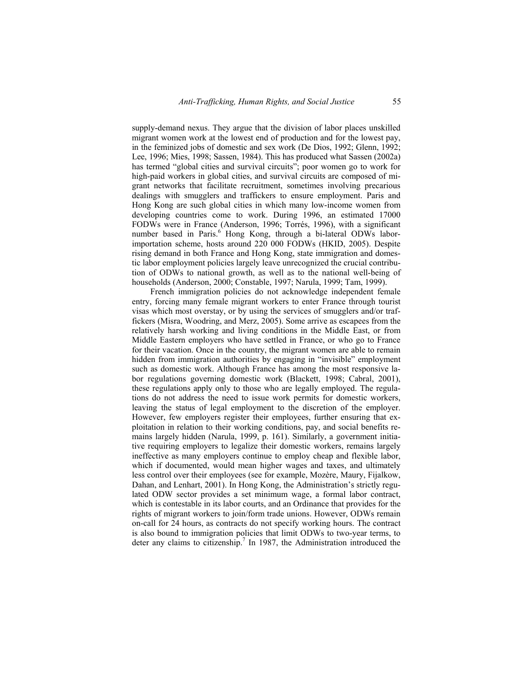supply-demand nexus. They argue that the division of labor places unskilled migrant women work at the lowest end of production and for the lowest pay, in the feminized jobs of domestic and sex work (De Dios, 1992; Glenn, 1992; Lee, 1996; Mies, 1998; Sassen, 1984). This has produced what Sassen (2002a) has termed "global cities and survival circuits"; poor women go to work for high-paid workers in global cities, and survival circuits are composed of migrant networks that facilitate recruitment, sometimes involving precarious dealings with smugglers and traffickers to ensure employment. Paris and Hong Kong are such global cities in which many low-income women from developing countries come to work. During 1996, an estimated 17000 FODWs were in France (Anderson, 1996; Torrés, 1996), with a significant number based in Paris.<sup>6</sup> Hong Kong, through a bi-lateral ODWs laborimportation scheme, hosts around 220 000 FODWs (HKID, 2005). Despite rising demand in both France and Hong Kong, state immigration and domestic labor employment policies largely leave unrecognized the crucial contribution of ODWs to national growth, as well as to the national well-being of households (Anderson, 2000; Constable, 1997; Narula, 1999; Tam, 1999).

French immigration policies do not acknowledge independent female entry, forcing many female migrant workers to enter France through tourist visas which most overstay, or by using the services of smugglers and/or traffickers (Misra, Woodring, and Merz, 2005). Some arrive as escapees from the relatively harsh working and living conditions in the Middle East, or from Middle Eastern employers who have settled in France, or who go to France for their vacation. Once in the country, the migrant women are able to remain hidden from immigration authorities by engaging in "invisible" employment such as domestic work. Although France has among the most responsive labor regulations governing domestic work (Blackett, 1998; Cabral, 2001), these regulations apply only to those who are legally employed. The regulations do not address the need to issue work permits for domestic workers, leaving the status of legal employment to the discretion of the employer. However, few employers register their employees, further ensuring that exploitation in relation to their working conditions, pay, and social benefits remains largely hidden (Narula, 1999, p. 161). Similarly, a government initiative requiring employers to legalize their domestic workers, remains largely ineffective as many employers continue to employ cheap and flexible labor, which if documented, would mean higher wages and taxes, and ultimately less control over their employees (see for example, Mozère, Maury, Fijalkow, Dahan, and Lenhart, 2001). In Hong Kong, the Administration's strictly regulated ODW sector provides a set minimum wage, a formal labor contract, which is contestable in its labor courts, and an Ordinance that provides for the rights of migrant workers to join/form trade unions. However, ODWs remain on-call for 24 hours, as contracts do not specify working hours. The contract is also bound to immigration policies that limit ODWs to two-year terms, to deter any claims to citizenship.<sup>7</sup> In 1987, the Administration introduced the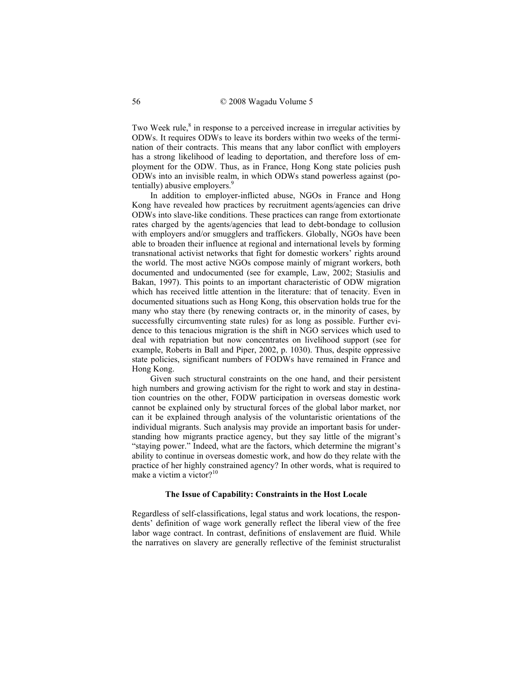Two Week rule, $8$  in response to a perceived increase in irregular activities by ODWs. It requires ODWs to leave its borders within two weeks of the termination of their contracts. This means that any labor conflict with employers has a strong likelihood of leading to deportation, and therefore loss of employment for the ODW. Thus, as in France, Hong Kong state policies push ODWs into an invisible realm, in which ODWs stand powerless against (potentially) abusive employers.<sup>9</sup>

In addition to employer-inflicted abuse, NGOs in France and Hong Kong have revealed how practices by recruitment agents/agencies can drive ODWs into slave-like conditions. These practices can range from extortionate rates charged by the agents/agencies that lead to debt-bondage to collusion with employers and/or smugglers and traffickers. Globally, NGOs have been able to broaden their influence at regional and international levels by forming transnational activist networks that fight for domestic workers' rights around the world. The most active NGOs compose mainly of migrant workers, both documented and undocumented (see for example, Law, 2002; Stasiulis and Bakan, 1997). This points to an important characteristic of ODW migration which has received little attention in the literature: that of tenacity. Even in documented situations such as Hong Kong, this observation holds true for the many who stay there (by renewing contracts or, in the minority of cases, by successfully circumventing state rules) for as long as possible. Further evidence to this tenacious migration is the shift in NGO services which used to deal with repatriation but now concentrates on livelihood support (see for example, Roberts in Ball and Piper, 2002, p. 1030). Thus, despite oppressive state policies, significant numbers of FODWs have remained in France and Hong Kong.

Given such structural constraints on the one hand, and their persistent high numbers and growing activism for the right to work and stay in destination countries on the other, FODW participation in overseas domestic work cannot be explained only by structural forces of the global labor market, nor can it be explained through analysis of the voluntaristic orientations of the individual migrants. Such analysis may provide an important basis for understanding how migrants practice agency, but they say little of the migrant's "staying power." Indeed, what are the factors, which determine the migrant's ability to continue in overseas domestic work, and how do they relate with the practice of her highly constrained agency? In other words, what is required to make a victim a victor $?^{10}$ 

#### **The Issue of Capability: Constraints in the Host Locale**

Regardless of self-classifications, legal status and work locations, the respondents' definition of wage work generally reflect the liberal view of the free labor wage contract. In contrast, definitions of enslavement are fluid. While the narratives on slavery are generally reflective of the feminist structuralist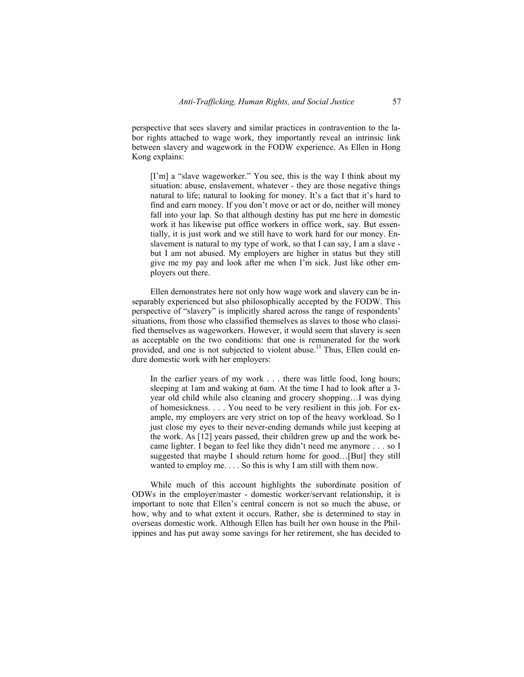perspective that sees slavery and similar practices in contravention to the labor rights attached to wage work, they importantly reveal an intrinsic link between slavery and wagework in the FODW experience. As Ellen in Hong Kong explains:

[I'm] a "slave wageworker." You see, this is the way I think about my situation: abuse, enslavement, whatever - they are those negative things natural to life; natural to looking for money. It's a fact that it's hard to find and earn money. If you don't move or act or do, neither will money fall into your lap. So that although destiny has put me here in domestic work it has likewise put office workers in office work, say. But essentially, it is just work and we still have to work hard for our money. Enslavement is natural to my type of work, so that I can say, I am a slave but I am not abused. My employers are higher in status but they still give me my pay and look after me when I'm sick. Just like other employers out there.

Ellen demonstrates here not only how wage work and slavery can be inseparably experienced but also philosophically accepted by the FODW. This perspective of "slavery" is implicitly shared across the range of respondents' situations, from those who classified themselves as slaves to those who classified themselves as wageworkers. However, it would seem that slavery is seen as acceptable on the two conditions: that one is remunerated for the work provided, and one is not subjected to violent abuse.<sup>11</sup> Thus, Ellen could endure domestic work with her employers:

In the earlier years of my work . . . there was little food, long hours; sleeping at 1am and waking at 6am. At the time I had to look after a 3 year old child while also cleaning and grocery shopping…I was dying of homesickness. . . . You need to be very resilient in this job. For example, my employers are very strict on top of the heavy workload. So I just close my eyes to their never-ending demands while just keeping at the work. As [12] years passed, their children grew up and the work became lighter. I began to feel like they didn't need me anymore . . . so I suggested that maybe I should return home for good…[But] they still wanted to employ me. . . . So this is why I am still with them now.

While much of this account highlights the subordinate position of ODWs in the employer/master - domestic worker/servant relationship, it is important to note that Ellen's central concern is not so much the abuse, or how, why and to what extent it occurs. Rather, she is determined to stay in overseas domestic work. Although Ellen has built her own house in the Philippines and has put away some savings for her retirement, she has decided to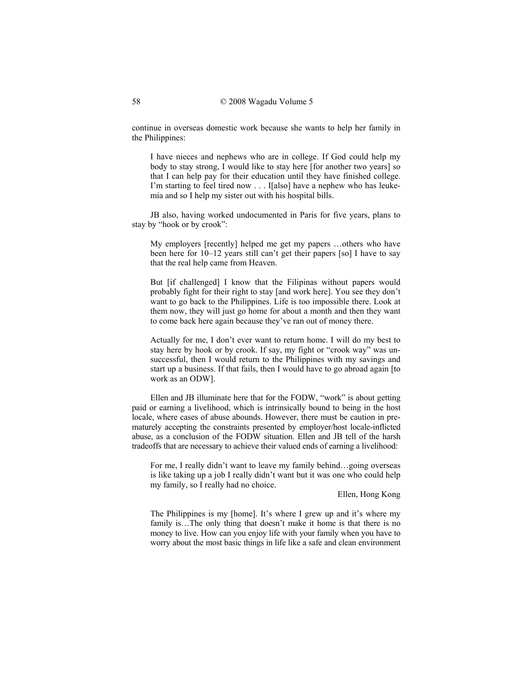continue in overseas domestic work because she wants to help her family in the Philippines:

I have nieces and nephews who are in college. If God could help my body to stay strong, I would like to stay here [for another two years] so that I can help pay for their education until they have finished college. I'm starting to feel tired now . . . I[also] have a nephew who has leukemia and so I help my sister out with his hospital bills.

JB also, having worked undocumented in Paris for five years, plans to stay by "hook or by crook":

My employers [recently] helped me get my papers …others who have been here for 10–12 years still can't get their papers [so] I have to say that the real help came from Heaven.

But [if challenged] I know that the Filipinas without papers would probably fight for their right to stay [and work here]. You see they don't want to go back to the Philippines. Life is too impossible there. Look at them now, they will just go home for about a month and then they want to come back here again because they've ran out of money there.

Actually for me, I don't ever want to return home. I will do my best to stay here by hook or by crook. If say, my fight or "crook way" was unsuccessful, then I would return to the Philippines with my savings and start up a business. If that fails, then I would have to go abroad again [to work as an ODW].

Ellen and JB illuminate here that for the FODW, "work" is about getting paid or earning a livelihood, which is intrinsically bound to being in the host locale, where cases of abuse abounds. However, there must be caution in prematurely accepting the constraints presented by employer/host locale-inflicted abuse, as a conclusion of the FODW situation. Ellen and JB tell of the harsh tradeoffs that are necessary to achieve their valued ends of earning a livelihood:

For me, I really didn't want to leave my family behind…going overseas is like taking up a job I really didn't want but it was one who could help my family, so I really had no choice.

Ellen, Hong Kong

The Philippines is my [home]. It's where I grew up and it's where my family is…The only thing that doesn't make it home is that there is no money to live. How can you enjoy life with your family when you have to worry about the most basic things in life like a safe and clean environment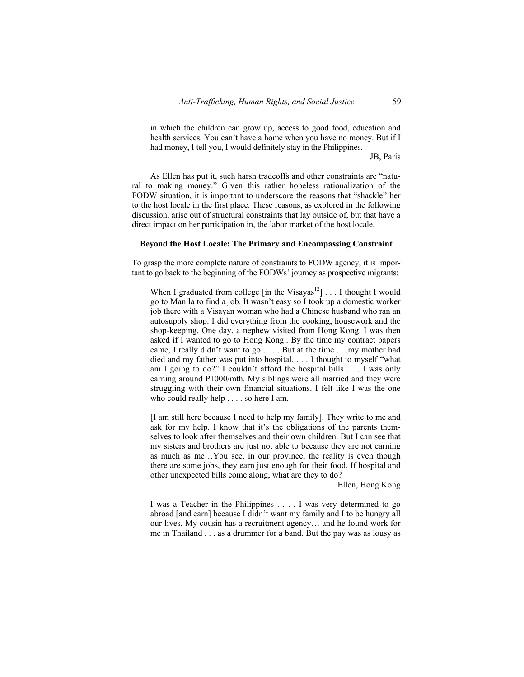in which the children can grow up, access to good food, education and health services. You can't have a home when you have no money. But if I had money, I tell you, I would definitely stay in the Philippines.

JB, Paris

As Ellen has put it, such harsh tradeoffs and other constraints are "natural to making money." Given this rather hopeless rationalization of the FODW situation, it is important to underscore the reasons that "shackle" her to the host locale in the first place. These reasons, as explored in the following discussion, arise out of structural constraints that lay outside of, but that have a direct impact on her participation in, the labor market of the host locale.

#### **Beyond the Host Locale: The Primary and Encompassing Constraint**

To grasp the more complete nature of constraints to FODW agency, it is important to go back to the beginning of the FODWs' journey as prospective migrants:

When I graduated from college [in the Visayas $12$ ] . . . I thought I would go to Manila to find a job. It wasn't easy so I took up a domestic worker job there with a Visayan woman who had a Chinese husband who ran an autosupply shop. I did everything from the cooking, housework and the shop-keeping. One day, a nephew visited from Hong Kong. I was then asked if I wanted to go to Hong Kong.. By the time my contract papers came, I really didn't want to go . . . . But at the time . . .my mother had died and my father was put into hospital. . . . I thought to myself "what am I going to do?" I couldn't afford the hospital bills . . . I was only earning around P1000/mth. My siblings were all married and they were struggling with their own financial situations. I felt like I was the one who could really help . . . . so here I am.

[I am still here because I need to help my family]. They write to me and ask for my help. I know that it's the obligations of the parents themselves to look after themselves and their own children. But I can see that my sisters and brothers are just not able to because they are not earning as much as me…You see, in our province, the reality is even though there are some jobs, they earn just enough for their food. If hospital and other unexpected bills come along, what are they to do?

Ellen, Hong Kong

I was a Teacher in the Philippines . . . . I was very determined to go abroad [and earn] because I didn't want my family and I to be hungry all our lives. My cousin has a recruitment agency… and he found work for me in Thailand . . . as a drummer for a band. But the pay was as lousy as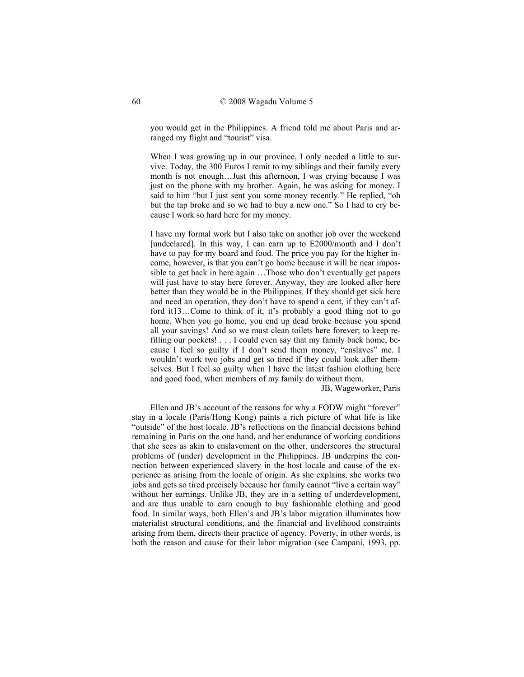you would get in the Philippines. A friend told me about Paris and arranged my flight and "tourist" visa.

When I was growing up in our province, I only needed a little to survive. Today, the 300 Euros I remit to my siblings and their family every month is not enough…Just this afternoon, I was crying because I was just on the phone with my brother. Again, he was asking for money. I said to him "but I just sent you some money recently." He replied, "oh but the tap broke and so we had to buy a new one." So I had to cry because I work so hard here for my money.

I have my formal work but I also take on another job over the weekend [undeclared]. In this way, I can earn up to E2000/month and I don't have to pay for my board and food. The price you pay for the higher income, however, is that you can't go home because it will be near impossible to get back in here again …Those who don't eventually get papers will just have to stay here forever. Anyway, they are looked after here better than they would be in the Philippines. If they should get sick here and need an operation, they don't have to spend a cent, if they can't afford it13…Come to think of it, it's probably a good thing not to go home. When you go home, you end up dead broke because you spend all your savings! And so we must clean toilets here forever; to keep refilling our pockets! . . . I could even say that my family back home, because I feel so guilty if I don't send them money, "enslaves" me. I wouldn't work two jobs and get so tired if they could look after themselves. But I feel so guilty when I have the latest fashion clothing here and good food, when members of my family do without them.

JB, Wageworker, Paris

Ellen and JB's account of the reasons for why a FODW might "forever" stay in a locale (Paris/Hong Kong) paints a rich picture of what life is like "outside" of the host locale. JB's reflections on the financial decisions behind remaining in Paris on the one hand, and her endurance of working conditions that she sees as akin to enslavement on the other, underscores the structural problems of (under) development in the Philippines. JB underpins the connection between experienced slavery in the host locale and cause of the experience as arising from the locale of origin. As she explains, she works two jobs and gets so tired precisely because her family cannot "live a certain way" without her earnings. Unlike JB, they are in a setting of underdevelopment, and are thus unable to earn enough to buy fashionable clothing and good food. In similar ways, both Ellen's and JB's labor migration illuminates how materialist structural conditions, and the financial and livelihood constraints arising from them, directs their practice of agency. Poverty, in other words, is both the reason and cause for their labor migration (see Campani, 1993, pp.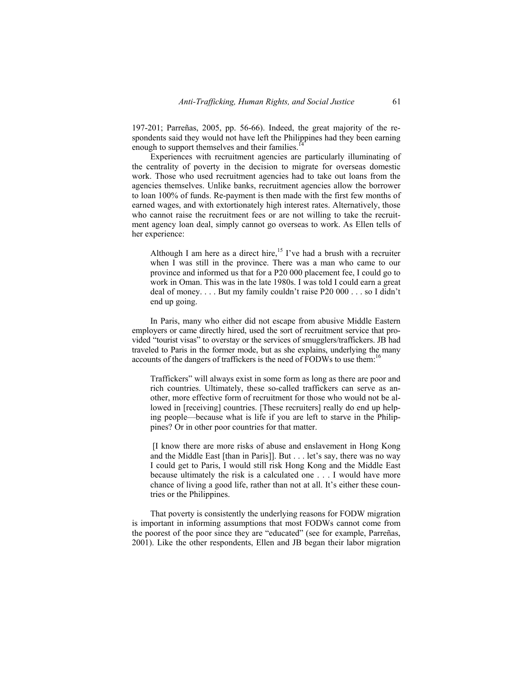197-201; Parreñas, 2005, pp. 56-66). Indeed, the great majority of the respondents said they would not have left the Philippines had they been earning enough to support themselves and their families.<sup>14</sup>

Experiences with recruitment agencies are particularly illuminating of the centrality of poverty in the decision to migrate for overseas domestic work. Those who used recruitment agencies had to take out loans from the agencies themselves. Unlike banks, recruitment agencies allow the borrower to loan 100% of funds. Re-payment is then made with the first few months of earned wages, and with extortionately high interest rates. Alternatively, those who cannot raise the recruitment fees or are not willing to take the recruitment agency loan deal, simply cannot go overseas to work. As Ellen tells of her experience:

Although I am here as a direct hire,<sup>15</sup> I've had a brush with a recruiter when I was still in the province. There was a man who came to our province and informed us that for a P20 000 placement fee, I could go to work in Oman. This was in the late 1980s. I was told I could earn a great deal of money. . . . But my family couldn't raise P20 000 . . . so I didn't end up going.

In Paris, many who either did not escape from abusive Middle Eastern employers or came directly hired, used the sort of recruitment service that provided "tourist visas" to overstay or the services of smugglers/traffickers. JB had traveled to Paris in the former mode, but as she explains, underlying the many accounts of the dangers of traffickers is the need of FODWs to use them:<sup>16</sup>

Traffickers" will always exist in some form as long as there are poor and rich countries. Ultimately, these so-called traffickers can serve as another, more effective form of recruitment for those who would not be allowed in [receiving] countries. [These recruiters] really do end up helping people—because what is life if you are left to starve in the Philippines? Or in other poor countries for that matter.

 [I know there are more risks of abuse and enslavement in Hong Kong and the Middle East [than in Paris]]. But . . . let's say, there was no way I could get to Paris, I would still risk Hong Kong and the Middle East because ultimately the risk is a calculated one . . . I would have more chance of living a good life, rather than not at all. It's either these countries or the Philippines.

That poverty is consistently the underlying reasons for FODW migration is important in informing assumptions that most FODWs cannot come from the poorest of the poor since they are "educated" (see for example, Parreñas, 2001). Like the other respondents, Ellen and JB began their labor migration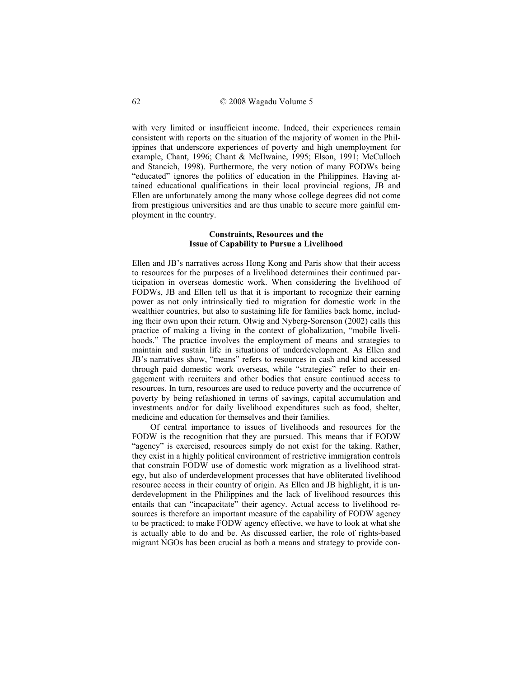with very limited or insufficient income. Indeed, their experiences remain consistent with reports on the situation of the majority of women in the Philippines that underscore experiences of poverty and high unemployment for example, Chant, 1996; Chant & McIlwaine, 1995; Elson, 1991; McCulloch and Stancich, 1998). Furthermore, the very notion of many FODWs being "educated" ignores the politics of education in the Philippines. Having attained educational qualifications in their local provincial regions, JB and Ellen are unfortunately among the many whose college degrees did not come from prestigious universities and are thus unable to secure more gainful employment in the country.

### **Constraints, Resources and the Issue of Capability to Pursue a Livelihood**

Ellen and JB's narratives across Hong Kong and Paris show that their access to resources for the purposes of a livelihood determines their continued participation in overseas domestic work. When considering the livelihood of FODWs, JB and Ellen tell us that it is important to recognize their earning power as not only intrinsically tied to migration for domestic work in the wealthier countries, but also to sustaining life for families back home, including their own upon their return. Olwig and Nyberg-Sorenson (2002) calls this practice of making a living in the context of globalization, "mobile livelihoods." The practice involves the employment of means and strategies to maintain and sustain life in situations of underdevelopment. As Ellen and JB's narratives show, "means" refers to resources in cash and kind accessed through paid domestic work overseas, while "strategies" refer to their engagement with recruiters and other bodies that ensure continued access to resources. In turn, resources are used to reduce poverty and the occurrence of poverty by being refashioned in terms of savings, capital accumulation and investments and/or for daily livelihood expenditures such as food, shelter, medicine and education for themselves and their families.

Of central importance to issues of livelihoods and resources for the FODW is the recognition that they are pursued. This means that if FODW "agency" is exercised, resources simply do not exist for the taking. Rather, they exist in a highly political environment of restrictive immigration controls that constrain FODW use of domestic work migration as a livelihood strategy, but also of underdevelopment processes that have obliterated livelihood resource access in their country of origin. As Ellen and JB highlight, it is underdevelopment in the Philippines and the lack of livelihood resources this entails that can "incapacitate" their agency. Actual access to livelihood resources is therefore an important measure of the capability of FODW agency to be practiced; to make FODW agency effective, we have to look at what she is actually able to do and be. As discussed earlier, the role of rights-based migrant NGOs has been crucial as both a means and strategy to provide con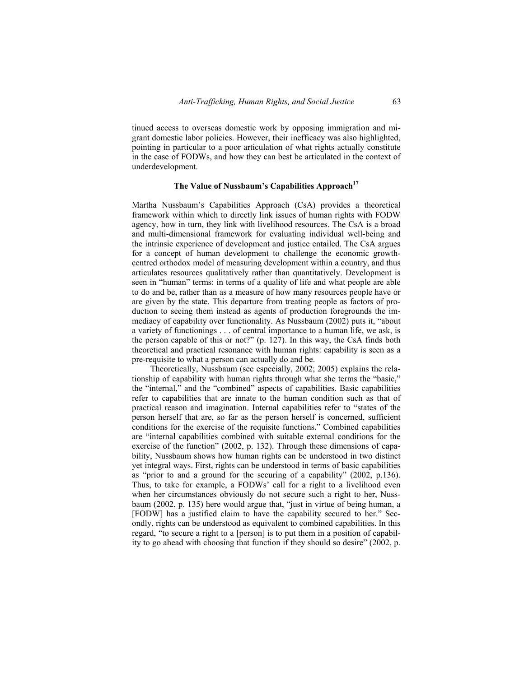tinued access to overseas domestic work by opposing immigration and migrant domestic labor policies. However, their inefficacy was also highlighted, pointing in particular to a poor articulation of what rights actually constitute in the case of FODWs, and how they can best be articulated in the context of underdevelopment.

## The Value of Nussbaum's Capabilities Approach<sup>17</sup>

Martha Nussbaum's Capabilities Approach (CsA) provides a theoretical framework within which to directly link issues of human rights with FODW agency, how in turn, they link with livelihood resources. The CsA is a broad and multi-dimensional framework for evaluating individual well-being and the intrinsic experience of development and justice entailed. The CsA argues for a concept of human development to challenge the economic growthcentred orthodox model of measuring development within a country, and thus articulates resources qualitatively rather than quantitatively. Development is seen in "human" terms: in terms of a quality of life and what people are able to do and be, rather than as a measure of how many resources people have or are given by the state. This departure from treating people as factors of production to seeing them instead as agents of production foregrounds the immediacy of capability over functionality. As Nussbaum (2002) puts it, "about a variety of functionings . . . of central importance to a human life, we ask, is the person capable of this or not?" (p. 127). In this way, the CsA finds both theoretical and practical resonance with human rights: capability is seen as a pre-requisite to what a person can actually do and be.

Theoretically, Nussbaum (see especially, 2002; 2005) explains the relationship of capability with human rights through what she terms the "basic," the "internal," and the "combined" aspects of capabilities. Basic capabilities refer to capabilities that are innate to the human condition such as that of practical reason and imagination. Internal capabilities refer to "states of the person herself that are, so far as the person herself is concerned, sufficient conditions for the exercise of the requisite functions." Combined capabilities are "internal capabilities combined with suitable external conditions for the exercise of the function" (2002, p. 132). Through these dimensions of capability, Nussbaum shows how human rights can be understood in two distinct yet integral ways. First, rights can be understood in terms of basic capabilities as "prior to and a ground for the securing of a capability" (2002, p.136). Thus, to take for example, a FODWs' call for a right to a livelihood even when her circumstances obviously do not secure such a right to her, Nussbaum (2002, p. 135) here would argue that, "just in virtue of being human, a [FODW] has a justified claim to have the capability secured to her." Secondly, rights can be understood as equivalent to combined capabilities. In this regard, "to secure a right to a [person] is to put them in a position of capability to go ahead with choosing that function if they should so desire" (2002, p.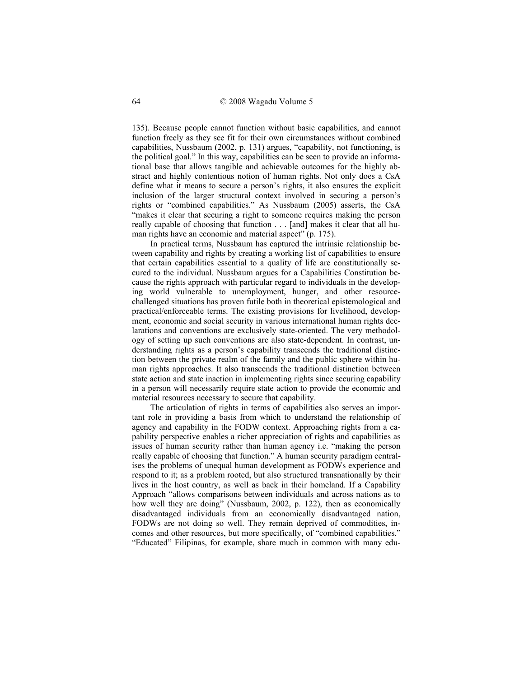135). Because people cannot function without basic capabilities, and cannot function freely as they see fit for their own circumstances without combined capabilities, Nussbaum (2002, p. 131) argues, "capability, not functioning, is the political goal." In this way, capabilities can be seen to provide an informational base that allows tangible and achievable outcomes for the highly abstract and highly contentious notion of human rights. Not only does a CsA define what it means to secure a person's rights, it also ensures the explicit inclusion of the larger structural context involved in securing a person's rights or "combined capabilities." As Nussbaum (2005) asserts, the CsA "makes it clear that securing a right to someone requires making the person really capable of choosing that function . . . [and] makes it clear that all human rights have an economic and material aspect" (p. 175).

In practical terms, Nussbaum has captured the intrinsic relationship between capability and rights by creating a working list of capabilities to ensure that certain capabilities essential to a quality of life are constitutionally secured to the individual. Nussbaum argues for a Capabilities Constitution because the rights approach with particular regard to individuals in the developing world vulnerable to unemployment, hunger, and other resourcechallenged situations has proven futile both in theoretical epistemological and practical/enforceable terms. The existing provisions for livelihood, development, economic and social security in various international human rights declarations and conventions are exclusively state-oriented. The very methodology of setting up such conventions are also state-dependent. In contrast, understanding rights as a person's capability transcends the traditional distinction between the private realm of the family and the public sphere within human rights approaches. It also transcends the traditional distinction between state action and state inaction in implementing rights since securing capability in a person will necessarily require state action to provide the economic and material resources necessary to secure that capability.

The articulation of rights in terms of capabilities also serves an important role in providing a basis from which to understand the relationship of agency and capability in the FODW context. Approaching rights from a capability perspective enables a richer appreciation of rights and capabilities as issues of human security rather than human agency i.e. "making the person really capable of choosing that function." A human security paradigm centralises the problems of unequal human development as FODWs experience and respond to it; as a problem rooted, but also structured transnationally by their lives in the host country, as well as back in their homeland. If a Capability Approach "allows comparisons between individuals and across nations as to how well they are doing" (Nussbaum, 2002, p. 122), then as economically disadvantaged individuals from an economically disadvantaged nation, FODWs are not doing so well. They remain deprived of commodities, incomes and other resources, but more specifically, of "combined capabilities." "Educated" Filipinas, for example, share much in common with many edu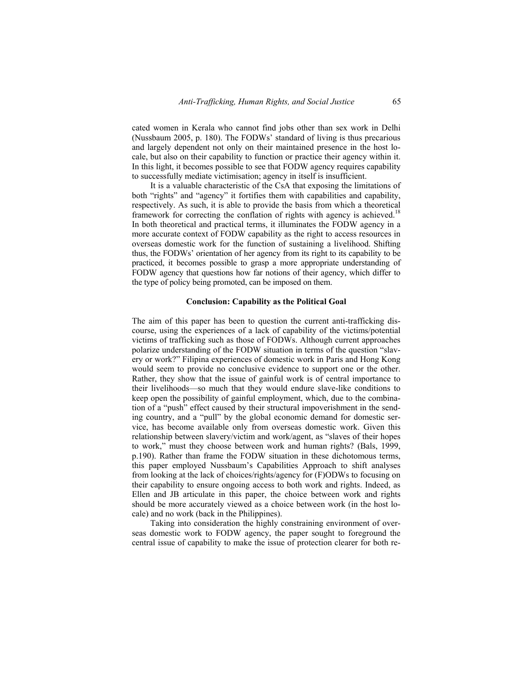cated women in Kerala who cannot find jobs other than sex work in Delhi (Nussbaum 2005, p. 180). The FODWs' standard of living is thus precarious and largely dependent not only on their maintained presence in the host locale, but also on their capability to function or practice their agency within it. In this light, it becomes possible to see that FODW agency requires capability to successfully mediate victimisation; agency in itself is insufficient.

It is a valuable characteristic of the CsA that exposing the limitations of both "rights" and "agency" it fortifies them with capabilities and capability, respectively. As such, it is able to provide the basis from which a theoretical framework for correcting the conflation of rights with agency is achieved.<sup>18</sup> In both theoretical and practical terms, it illuminates the FODW agency in a more accurate context of FODW capability as the right to access resources in overseas domestic work for the function of sustaining a livelihood. Shifting thus, the FODWs' orientation of her agency from its right to its capability to be practiced, it becomes possible to grasp a more appropriate understanding of FODW agency that questions how far notions of their agency, which differ to the type of policy being promoted, can be imposed on them.

#### **Conclusion: Capability as the Political Goal**

The aim of this paper has been to question the current anti-trafficking discourse, using the experiences of a lack of capability of the victims/potential victims of trafficking such as those of FODWs. Although current approaches polarize understanding of the FODW situation in terms of the question "slavery or work?" Filipina experiences of domestic work in Paris and Hong Kong would seem to provide no conclusive evidence to support one or the other. Rather, they show that the issue of gainful work is of central importance to their livelihoods—so much that they would endure slave-like conditions to keep open the possibility of gainful employment, which, due to the combination of a "push" effect caused by their structural impoverishment in the sending country, and a "pull" by the global economic demand for domestic service, has become available only from overseas domestic work. Given this relationship between slavery/victim and work/agent, as "slaves of their hopes to work," must they choose between work and human rights? (Bals, 1999, p.190). Rather than frame the FODW situation in these dichotomous terms, this paper employed Nussbaum's Capabilities Approach to shift analyses from looking at the lack of choices/rights/agency for (F)ODWs to focusing on their capability to ensure ongoing access to both work and rights. Indeed, as Ellen and JB articulate in this paper, the choice between work and rights should be more accurately viewed as a choice between work (in the host locale) and no work (back in the Philippines).

Taking into consideration the highly constraining environment of overseas domestic work to FODW agency, the paper sought to foreground the central issue of capability to make the issue of protection clearer for both re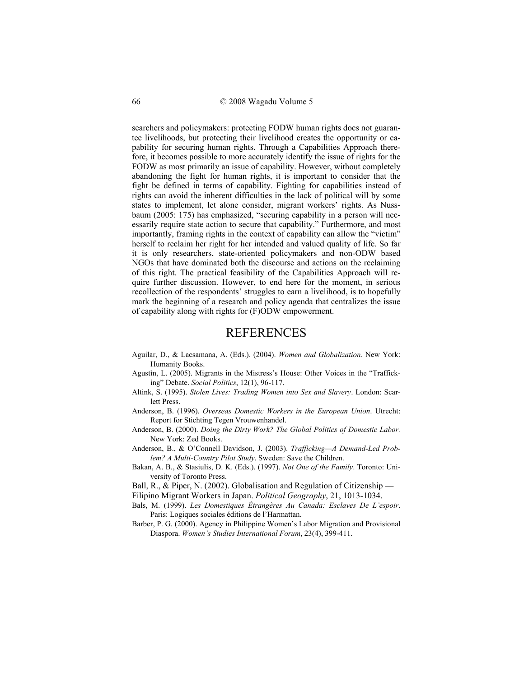66 © 2008 Wagadu Volume 5

searchers and policymakers: protecting FODW human rights does not guarantee livelihoods, but protecting their livelihood creates the opportunity or capability for securing human rights. Through a Capabilities Approach therefore, it becomes possible to more accurately identify the issue of rights for the FODW as most primarily an issue of capability. However, without completely abandoning the fight for human rights, it is important to consider that the fight be defined in terms of capability. Fighting for capabilities instead of rights can avoid the inherent difficulties in the lack of political will by some states to implement, let alone consider, migrant workers' rights. As Nussbaum (2005: 175) has emphasized, "securing capability in a person will necessarily require state action to secure that capability." Furthermore, and most importantly, framing rights in the context of capability can allow the "victim" herself to reclaim her right for her intended and valued quality of life. So far it is only researchers, state-oriented policymakers and non-ODW based NGOs that have dominated both the discourse and actions on the reclaiming of this right. The practical feasibility of the Capabilities Approach will require further discussion. However, to end here for the moment, in serious recollection of the respondents' struggles to earn a livelihood, is to hopefully mark the beginning of a research and policy agenda that centralizes the issue of capability along with rights for (F)ODW empowerment.

# REFERENCES

- Aguilar, D., & Lacsamana, A. (Eds.). (2004). *Women and Globalization*. New York: Humanity Books.
- Agustìn, L. (2005). Migrants in the Mistress's House: Other Voices in the "Trafficking" Debate. *Social Politics*, 12(1), 96-117.
- Altink, S. (1995). *Stolen Lives: Trading Women into Sex and Slavery*. London: Scarlett Press.
- Anderson, B. (1996). *Overseas Domestic Workers in the European Union*. Utrecht: Report for Stichting Tegen Vrouwenhandel.
- Anderson, B. (2000). *Doing the Dirty Work? The Global Politics of Domestic Labor.* New York: Zed Books.
- Anderson, B., & O'Connell Davidson, J. (2003). *Trafficking—A Demand-Led Problem? A Multi-Country Pilot Study*. Sweden: Save the Children.
- Bakan, A. B., & Stasiulis, D. K. (Eds.). (1997). *Not One of the Family*. Toronto: University of Toronto Press.

Ball, R., & Piper, N. (2002). Globalisation and Regulation of Citizenship —

Filipino Migrant Workers in Japan. *Political Geography*, 21, 1013-1034.

Bals, M. (1999). *Les Domestiques Étrangères Au Canada: Esclaves De L'espoir*. Paris: Logiques sociales éditions de l'Harmattan.

Barber, P. G. (2000). Agency in Philippine Women's Labor Migration and Provisional Diaspora. *Women's Studies International Forum*, 23(4), 399-411.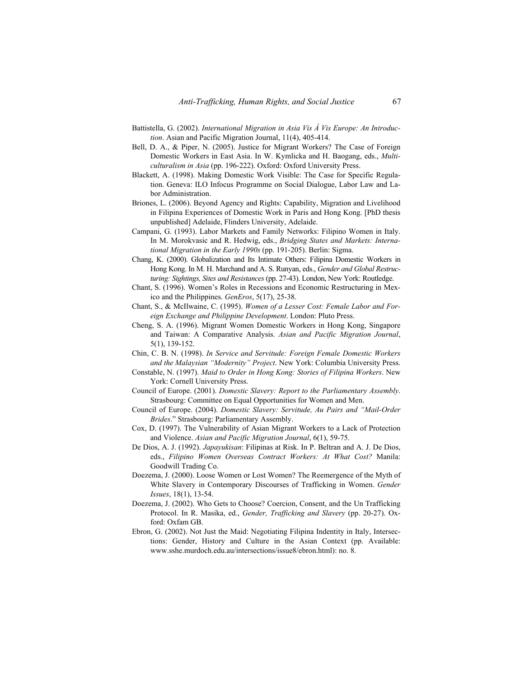- Battistella, G. (2002). *International Migration in Asia Vis À Vis Europe: An Introduction*. Asian and Pacific Migration Journal, 11(4), 405-414.
- Bell, D. A., & Piper, N. (2005). Justice for Migrant Workers? The Case of Foreign Domestic Workers in East Asia. In W. Kymlicka and H. Baogang, eds., *Multiculturalism in Asia* (pp. 196-222). Oxford: Oxford University Press.
- Blackett, A. (1998). Making Domestic Work Visible: The Case for Specific Regulation. Geneva: ILO Infocus Programme on Social Dialogue, Labor Law and Labor Administration.
- Briones, L. (2006). Beyond Agency and Rights: Capability, Migration and Livelihood in Filipina Experiences of Domestic Work in Paris and Hong Kong. [PhD thesis unpublished] Adelaide, Flinders University, Adelaide.
- Campani, G. (1993). Labor Markets and Family Networks: Filipino Women in Italy. In M. Morokvasic and R. Hedwig, eds., *Bridging States and Markets: International Migration in the Early 1990s* (pp. 191-205). Berlin: Sigma.
- Chang, K. (2000). Globalization and Its Intimate Others: Filipina Domestic Workers in Hong Kong. In M. H. Marchand and A. S. Runyan, eds., *Gender and Global Restructuring: Sightings, Sites and Resistances* (pp. 27-43). London, New York: Routledge.
- Chant, S. (1996). Women's Roles in Recessions and Economic Restructuring in Mexico and the Philippines. *GenEros*, 5(17), 25-38.
- Chant, S., & McIlwaine, C. (1995). *Women of a Lesser Cost: Female Labor and Foreign Exchange and Philippine Development*. London: Pluto Press.
- Cheng, S. A. (1996). Migrant Women Domestic Workers in Hong Kong, Singapore and Taiwan: A Comparative Analysis. *Asian and Pacific Migration Journal*, 5(1), 139-152.
- Chin, C. B. N. (1998). *In Service and Servitude: Foreign Female Domestic Workers and the Malaysian "Modernity" Project*. New York: Columbia University Press.
- Constable, N. (1997). *Maid to Order in Hong Kong: Stories of Filipina Workers*. New York: Cornell University Press.
- Council of Europe. (2001). *Domestic Slavery: Report to the Parliamentary Assembly*. Strasbourg: Committee on Equal Opportunities for Women and Men.
- Council of Europe. (2004). *Domestic Slavery: Servitude, Au Pairs and "Mail-Order Brides*." Strasbourg: Parliamentary Assembly.
- Cox, D. (1997). The Vulnerability of Asian Migrant Workers to a Lack of Protection and Violence. *Asian and Pacific Migration Journal*, 6(1), 59-75.
- De Dios, A. J. (1992). *Japayukisan*: Filipinas at Risk. In P. Beltran and A. J. De Dios, eds., *Filipino Women Overseas Contract Workers: At What Cost?* Manila: Goodwill Trading Co.
- Doezema, J. (2000). Loose Women or Lost Women? The Reemergence of the Myth of White Slavery in Contemporary Discourses of Trafficking in Women. *Gender Issues*, 18(1), 13-54.
- Doezema, J. (2002). Who Gets to Choose? Coercion, Consent, and the Un Trafficking Protocol. In R. Masika, ed., *Gender, Trafficking and Slavery* (pp. 20-27). Oxford: Oxfam GB.
- Ebron, G. (2002). Not Just the Maid: Negotiating Filipina Indentity in Italy, Intersections: Gender, History and Culture in the Asian Context (pp. Available: www.sshe.murdoch.edu.au/intersections/issue8/ebron.html): no. 8.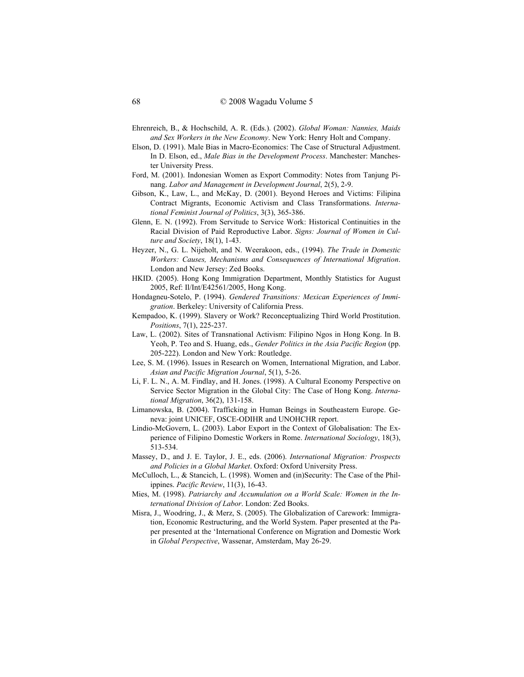- Ehrenreich, B., & Hochschild, A. R. (Eds.). (2002). *Global Woman: Nannies, Maids and Sex Workers in the New Economy*. New York: Henry Holt and Company.
- Elson, D. (1991). Male Bias in Macro-Economics: The Case of Structural Adjustment. In D. Elson, ed., *Male Bias in the Development Process*. Manchester: Manchester University Press.
- Ford, M. (2001). Indonesian Women as Export Commodity: Notes from Tanjung Pinang. *Labor and Management in Development Journal*, 2(5), 2-9.
- Gibson, K., Law, L., and McKay, D. (2001). Beyond Heroes and Victims: Filipina Contract Migrants, Economic Activism and Class Transformations. *International Feminist Journal of Politics*, 3(3), 365-386.
- Glenn, E. N. (1992). From Servitude to Service Work: Historical Continuities in the Racial Division of Paid Reproductive Labor. *Signs: Journal of Women in Culture and Society*, 18(1), 1-43.
- Heyzer, N., G. L. Nijeholt, and N. Weerakoon, eds., (1994). *The Trade in Domestic Workers: Causes, Mechanisms and Consequences of International Migration*. London and New Jersey: Zed Books.
- HKID. (2005). Hong Kong Immigration Department, Monthly Statistics for August 2005, Ref: Il/Int/E42561/2005, Hong Kong.
- Hondagneu-Sotelo, P. (1994). *Gendered Transitions: Mexican Experiences of Immigration*. Berkeley: University of California Press.
- Kempadoo, K. (1999). Slavery or Work? Reconceptualizing Third World Prostitution. *Positions*, 7(1), 225-237.
- Law, L. (2002). Sites of Transnational Activism: Filipino Ngos in Hong Kong. In B. Yeoh, P. Teo and S. Huang, eds., *Gender Politics in the Asia Pacific Region* (pp. 205-222). London and New York: Routledge.
- Lee, S. M. (1996). Issues in Research on Women, International Migration, and Labor. *Asian and Pacific Migration Journal*, 5(1), 5-26.
- Li, F. L. N., A. M. Findlay, and H. Jones. (1998). A Cultural Economy Perspective on Service Sector Migration in the Global City: The Case of Hong Kong. *International Migration*, 36(2), 131-158.
- Limanowska, B. (2004). Trafficking in Human Beings in Southeastern Europe. Geneva: joint UNICEF, OSCE-ODIHR and UNOHCHR report.
- Lindio-McGovern, L. (2003). Labor Export in the Context of Globalisation: The Experience of Filipino Domestic Workers in Rome. *International Sociology*, 18(3), 513-534.
- Massey, D., and J. E. Taylor, J. E., eds. (2006). *International Migration: Prospects and Policies in a Global Market*. Oxford: Oxford University Press.
- McCulloch, L., & Stancich, L. (1998). Women and (in)Security: The Case of the Philippines. *Pacific Review*, 11(3), 16-43.
- Mies, M. (1998). *Patriarchy and Accumulation on a World Scale: Women in the International Division of Labor*. London: Zed Books.
- Misra, J., Woodring, J., & Merz, S. (2005). The Globalization of Carework: Immigration, Economic Restructuring, and the World System. Paper presented at the Paper presented at the 'International Conference on Migration and Domestic Work in *Global Perspective*, Wassenar, Amsterdam, May 26-29.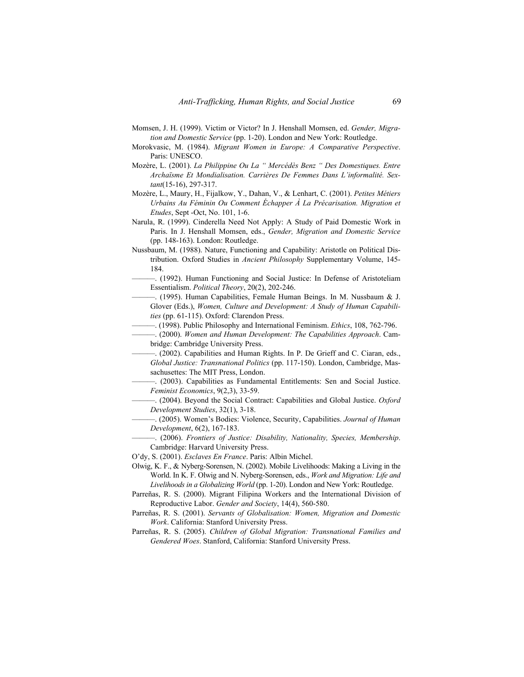- Momsen, J. H. (1999). Victim or Victor? In J. Henshall Momsen, ed. *Gender, Migration and Domestic Service* (pp. 1-20). London and New York: Routledge.
- Morokvasic, M. (1984). *Migrant Women in Europe: A Comparative Perspective*. Paris: UNESCO.
- Mozère, L. (2001). *La Philippine Ou La " Mercédès Benz " Des Domestiques. Entre Archaïsme Et Mondialisation. Carrières De Femmes Dans L'informalité. Sextant*(15-16), 297-317.
- Mozère, L., Maury, H., Fijalkow, Y., Dahan, V., & Lenhart, C. (2001). *Petites Métiers Urbains Au Féminin Ou Comment Échapper À La Précarisation. Migration et Etudes*, Sept -Oct, No. 101, 1-6.
- Narula, R. (1999). Cinderella Need Not Apply: A Study of Paid Domestic Work in Paris. In J. Henshall Momsen, eds., *Gender, Migration and Domestic Service* (pp. 148-163). London: Routledge.
- Nussbaum, M. (1988). Nature, Functioning and Capability: Aristotle on Political Distribution. Oxford Studies in *Ancient Philosophy* Supplementary Volume, 145- 184.
	- -. (1992). Human Functioning and Social Justice: In Defense of Aristoteliam Essentialism. *Political Theory*, 20(2), 202-246.
- -. (1995). Human Capabilities, Female Human Beings. In M. Nussbaum & J. Glover (Eds.), *Women, Culture and Development: A Study of Human Capabilities* (pp. 61-115). Oxford: Clarendon Press.
- ———. (1998). Public Philosophy and International Feminism. *Ethics*, 108, 762-796.
- ———. (2000). *Women and Human Development: The Capabilities Approach*. Cambridge: Cambridge University Press.
- ———. (2002). Capabilities and Human Rights. In P. De Grieff and C. Ciaran, eds., *Global Justice: Transnational Politics* (pp. 117-150). London, Cambridge, Massachusettes: The MIT Press, London.
- ———. (2003). Capabilities as Fundamental Entitlements: Sen and Social Justice. *Feminist Economics*, 9(2,3), 33-59.
- ———. (2004). Beyond the Social Contract: Capabilities and Global Justice. *Oxford Development Studies*, 32(1), 3-18.
	- ———. (2005). Women's Bodies: Violence, Security, Capabilities. *Journal of Human Development*, 6(2), 167-183.
	- ———. (2006). *Frontiers of Justice: Disability, Nationality, Species, Membership*. Cambridge: Harvard University Press.
- O'dy, S. (2001). *Esclaves En France*. Paris: Albin Michel.
- Olwig, K. F., & Nyberg-Sorensen, N. (2002). Mobile Livelihoods: Making a Living in the World. In K. F. Olwig and N. Nyberg-Sorensen, eds., *Work and Migration: Life and Livelihoods in a Globalizing World* (pp. 1-20). London and New York: Routledge.
- Parreñas, R. S. (2000). Migrant Filipina Workers and the International Division of Reproductive Labor. *Gender and Society*, 14(4), 560-580.
- Parreñas, R. S. (2001). *Servants of Globalisation: Women, Migration and Domestic Work*. California: Stanford University Press.
- Parreñas, R. S. (2005). *Children of Global Migration: Transnational Families and Gendered Woes*. Stanford, California: Stanford University Press.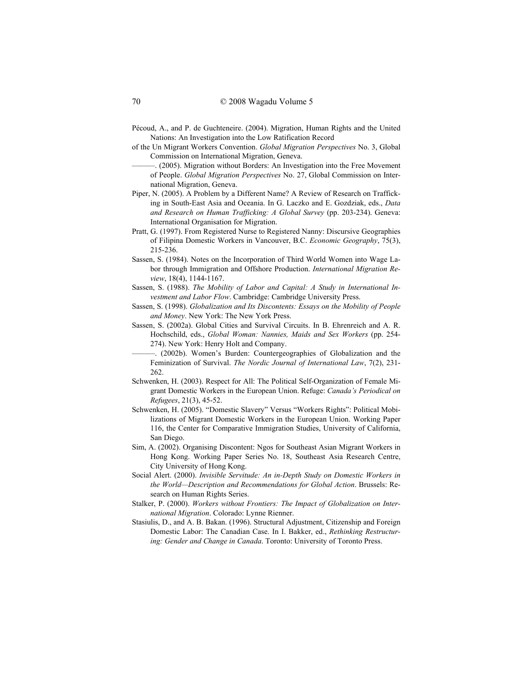- Pécoud, A., and P. de Guchteneire. (2004). Migration, Human Rights and the United Nations: An Investigation into the Low Ratification Record
- of the Un Migrant Workers Convention. *Global Migration Perspectives* No. 3, Global Commission on International Migration, Geneva.
- ———. (2005). Migration without Borders: An Investigation into the Free Movement of People. *Global Migration Perspectives* No. 27, Global Commission on International Migration, Geneva.
- Piper, N. (2005). A Problem by a Different Name? A Review of Research on Trafficking in South-East Asia and Oceania. In G. Laczko and E. Gozdziak, eds., *Data and Research on Human Trafficking: A Global Survey* (pp. 203-234). Geneva: International Organisation for Migration.
- Pratt, G. (1997). From Registered Nurse to Registered Nanny: Discursive Geographies of Filipina Domestic Workers in Vancouver, B.C. *Economic Geography*, 75(3), 215-236.
- Sassen, S. (1984). Notes on the Incorporation of Third World Women into Wage Labor through Immigration and Offshore Production. *International Migration Review*, 18(4), 1144-1167.
- Sassen, S. (1988). *The Mobility of Labor and Capital: A Study in International Investment and Labor Flow*. Cambridge: Cambridge University Press.
- Sassen, S. (1998). *Globalization and Its Discontents: Essays on the Mobility of People and Money*. New York: The New York Press.
- Sassen, S. (2002a). Global Cities and Survival Circuits. In B. Ehrenreich and A. R. Hochschild, eds., *Global Woman: Nannies, Maids and Sex Workers* (pp. 254- 274). New York: Henry Holt and Company.
	- ———. (2002b). Women's Burden: Countergeographies of Globalization and the Feminization of Survival. *The Nordic Journal of International Law*, 7(2), 231- 262.
- Schwenken, H. (2003). Respect for All: The Political Self-Organization of Female Migrant Domestic Workers in the European Union. Refuge: *Canada's Periodical on Refugees*, 21(3), 45-52.
- Schwenken, H. (2005). "Domestic Slavery" Versus "Workers Rights": Political Mobilizations of Migrant Domestic Workers in the European Union. Working Paper 116, the Center for Comparative Immigration Studies, University of California, San Diego.
- Sim, A. (2002). Organising Discontent: Ngos for Southeast Asian Migrant Workers in Hong Kong. Working Paper Series No. 18, Southeast Asia Research Centre, City University of Hong Kong.
- Social Alert. (2000). *Invisible Servitude: An in-Depth Study on Domestic Workers in the World—Description and Recommendations for Global Action*. Brussels: Research on Human Rights Series.
- Stalker, P. (2000). *Workers without Frontiers: The Impact of Globalization on International Migration*. Colorado: Lynne Rienner.
- Stasiulis, D., and A. B. Bakan. (1996). Structural Adjustment, Citizenship and Foreign Domestic Labor: The Canadian Case. In I. Bakker, ed., *Rethinking Restructuring: Gender and Change in Canada*. Toronto: University of Toronto Press.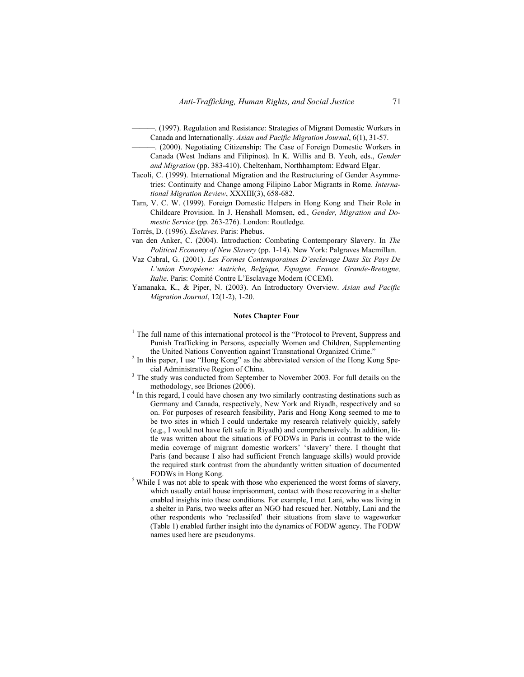———. (1997). Regulation and Resistance: Strategies of Migrant Domestic Workers in Canada and Internationally. *Asian and Pacific Migration Journal*, 6(1), 31-57.

- ———. (2000). Negotiating Citizenship: The Case of Foreign Domestic Workers in Canada (West Indians and Filipinos). In K. Willis and B. Yeoh, eds., *Gender and Migration* (pp. 383-410). Cheltenham, Northhamptom: Edward Elgar.
- Tacoli, C. (1999). International Migration and the Restructuring of Gender Asymmetries: Continuity and Change among Filipino Labor Migrants in Rome. *International Migration Review*, XXXIII(3), 658-682.
- Tam, V. C. W. (1999). Foreign Domestic Helpers in Hong Kong and Their Role in Childcare Provision. In J. Henshall Momsen, ed., *Gender, Migration and Domestic Service* (pp. 263-276). London: Routledge.
- Torrés, D. (1996). *Esclaves*. Paris: Phebus.
- van den Anker, C. (2004). Introduction: Combating Contemporary Slavery. In *The Political Economy of New Slavery* (pp. 1-14). New York: Palgraves Macmillan.
- Vaz Cabral, G. (2001). *Les Formes Contemporaines D'esclavage Dans Six Pays De L'union Européene: Autriche, Belgique, Espagne, France, Grande-Bretagne, Italie*. Paris: Comité Contre L'Esclavage Modern (CCEM).
- Yamanaka, K., & Piper, N. (2003). An Introductory Overview. *Asian and Pacific Migration Journal*, 12(1-2), 1-20.

#### **Notes Chapter Four**

- <sup>1</sup> The full name of this international protocol is the "Protocol to Prevent, Suppress and Punish Trafficking in Persons, especially Women and Children, Supplementing the United Nations Convention against Transnational Organized Crime."
- $2$  In this paper, I use "Hong Kong" as the abbreviated version of the Hong Kong Special Administrative Region of China. 3
- <sup>3</sup> The study was conducted from September to November 2003. For full details on the methodology, see Briones (2006). 4
- <sup>4</sup> In this regard, I could have chosen any two similarly contrasting destinations such as Germany and Canada, respectively, New York and Riyadh, respectively and so on. For purposes of research feasibility, Paris and Hong Kong seemed to me to be two sites in which I could undertake my research relatively quickly, safely (e.g., I would not have felt safe in Riyadh) and comprehensively. In addition, little was written about the situations of FODWs in Paris in contrast to the wide media coverage of migrant domestic workers' 'slavery' there. I thought that Paris (and because I also had sufficient French language skills) would provide the required stark contrast from the abundantly written situation of documented
- FODWs in Hong Kong. 5 While I was not able to speak with those who experienced the worst forms of slavery, which usually entail house imprisonment, contact with those recovering in a shelter enabled insights into these conditions. For example, I met Lani, who was living in a shelter in Paris, two weeks after an NGO had rescued her. Notably, Lani and the other respondents who 'reclassifed' their situations from slave to wageworker (Table 1) enabled further insight into the dynamics of FODW agency. The FODW names used here are pseudonyms.